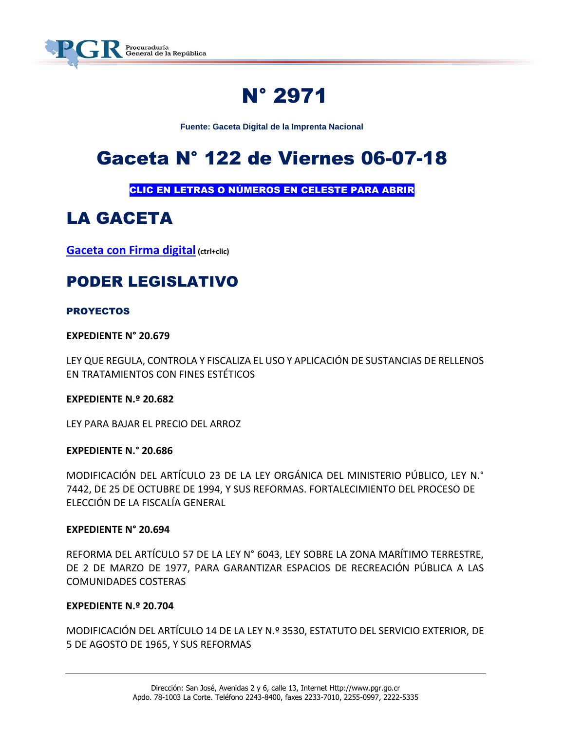

# N° 2971

**Fuente: Gaceta Digital de la Imprenta Nacional**

# Gaceta N° 122 de Viernes 06-07-18

CLIC EN LETRAS O NÚMEROS EN CELESTE PARA ABRIR

# LA GACETA

**[Gaceta con Firma digital](https://www.imprentanacional.go.cr/pub/2018/07/06/COMP_06_07_2018.pdf) (ctrl+clic)**

# PODER LEGISLATIVO

#### PROYECTOS

**EXPEDIENTE N° 20.679**

LEY QUE REGULA, CONTROLA Y FISCALIZA EL USO Y APLICACIÓN DE SUSTANCIAS DE RELLENOS EN TRATAMIENTOS CON FINES ESTÉTICOS

**EXPEDIENTE N.º 20.682**

LEY PARA BAJAR EL PRECIO DEL ARROZ

#### **EXPEDIENTE N.° 20.686**

MODIFICACIÓN DEL ARTÍCULO 23 DE LA LEY ORGÁNICA DEL MINISTERIO PÚBLICO, LEY N.° 7442, DE 25 DE OCTUBRE DE 1994, Y SUS REFORMAS. FORTALECIMIENTO DEL PROCESO DE ELECCIÓN DE LA FISCALÍA GENERAL

#### **EXPEDIENTE N° 20.694**

REFORMA DEL ARTÍCULO 57 DE LA LEY N° 6043, LEY SOBRE LA ZONA MARÍTIMO TERRESTRE, DE 2 DE MARZO DE 1977, PARA GARANTIZAR ESPACIOS DE RECREACIÓN PÚBLICA A LAS COMUNIDADES COSTERAS

#### **EXPEDIENTE N.º 20.704**

MODIFICACIÓN DEL ARTÍCULO 14 DE LA LEY N.º 3530, ESTATUTO DEL SERVICIO EXTERIOR, DE 5 DE AGOSTO DE 1965, Y SUS REFORMAS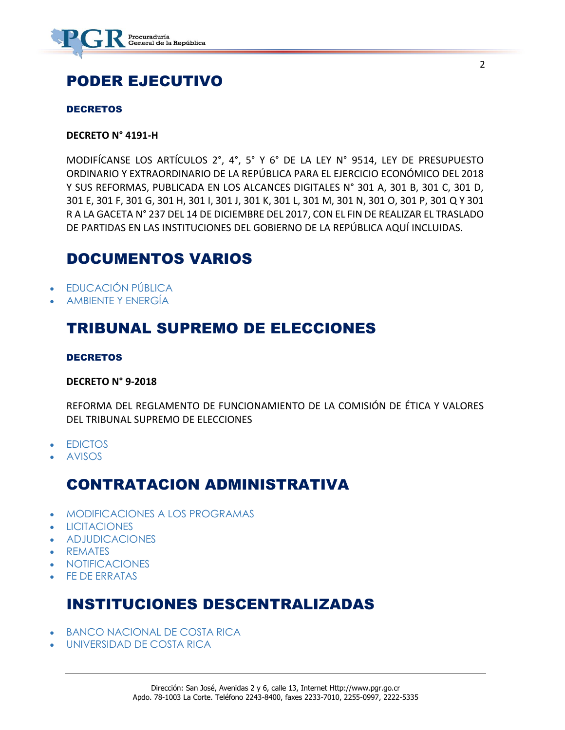

# PODER EJECUTIVO

#### **DECRETOS**

#### **DECRETO N° 4191-H**

MODIFÍCANSE LOS ARTÍCULOS 2°, 4°, 5° Y 6° DE LA LEY N° 9514, LEY DE PRESUPUESTO ORDINARIO Y EXTRAORDINARIO DE LA REPÚBLICA PARA EL EJERCICIO ECONÓMICO DEL 2018 Y SUS REFORMAS, PUBLICADA EN LOS ALCANCES DIGITALES N° 301 A, 301 B, 301 C, 301 D, 301 E, 301 F, 301 G, 301 H, 301 I, 301 J, 301 K, 301 L, 301 M, 301 N, 301 O, 301 P, 301 Q Y 301 R A LA GACETA N° 237 DEL 14 DE DICIEMBRE DEL 2017, CON EL FIN DE REALIZAR EL TRASLADO DE PARTIDAS EN LAS INSTITUCIONES DEL GOBIERNO DE LA REPÚBLICA AQUÍ INCLUIDAS.

### DOCUMENTOS VARIOS

- [EDUCACIÓN PÚBLICA](https://www.imprentanacional.go.cr/gaceta/#educacin-pblica)
- [AMBIENTE Y ENERGÍA](https://www.imprentanacional.go.cr/gaceta/#ambiente-y-energa)

### TRIBUNAL SUPREMO DE ELECCIONES

#### DECRETOS

#### **DECRETO N° 9-2018**

REFORMA DEL REGLAMENTO DE FUNCIONAMIENTO DE LA COMISIÓN DE ÉTICA Y VALORES DEL TRIBUNAL SUPREMO DE ELECCIONES

- [EDICTOS](https://www.imprentanacional.go.cr/gaceta/#edictos)
- [AVISOS](https://www.imprentanacional.go.cr/gaceta/#avisos)

## CONTRATACION ADMINISTRATIVA

- [MODIFICACIONES A LOS PROGRAMAS](https://www.imprentanacional.go.cr/gaceta/#modificaciones-a-los-programas)
- [LICITACIONES](https://www.imprentanacional.go.cr/gaceta/#licitaciones)
- [ADJUDICACIONES](https://www.imprentanacional.go.cr/gaceta/#adjudicaciones)
- [REMATES](https://www.imprentanacional.go.cr/gaceta/#remates)
- [NOTIFICACIONES](https://www.imprentanacional.go.cr/gaceta/#notificaciones)
- [FE DE ERRATAS](https://www.imprentanacional.go.cr/gaceta/#fe-de-erratas)

## INSTITUCIONES DESCENTRALIZADAS

- [BANCO NACIONAL DE COSTA RICA](https://www.imprentanacional.go.cr/gaceta/#banco-nacional-de-costa-rica)
- [UNIVERSIDAD DE COSTA RICA](https://www.imprentanacional.go.cr/gaceta/#universidad-de-costa-rica)